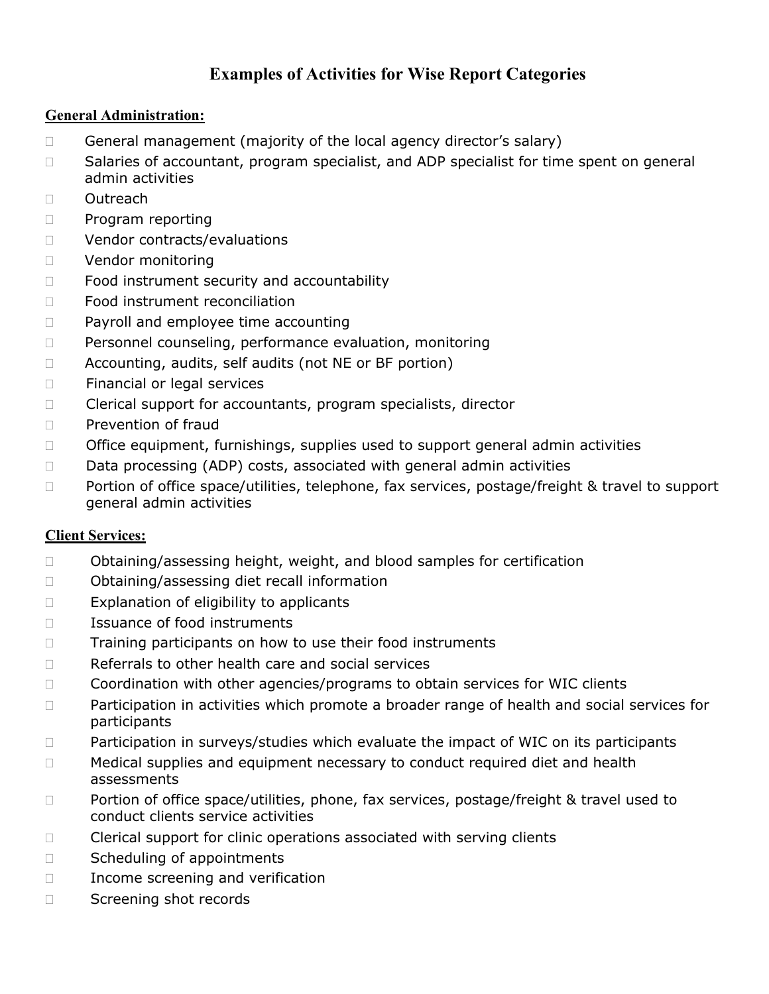# **Examples of Activities for Wise Report Categories**

## **General Administration:**

- $\Box$  General management (majority of the local agency director's salary)
- □ Salaries of accountant, program specialist, and ADP specialist for time spent on general admin activities
- Outreach
- D Program reporting
- D Vendor contracts/evaluations
- D Vendor monitoring
- $\Box$  Food instrument security and accountability
- □ Food instrument reconciliation
- □ Payroll and employee time accounting
- Personnel counseling, performance evaluation, monitoring
- $\Box$  Accounting, audits, self audits (not NE or BF portion)
- □ Financial or legal services
- □ Clerical support for accountants, program specialists, director
- $\Box$  Prevention of fraud
- $\Box$  Office equipment, furnishings, supplies used to support general admin activities
- $\Box$  Data processing (ADP) costs, associated with general admin activities
- $\Box$  Portion of office space/utilities, telephone, fax services, postage/freight & travel to support general admin activities

## **Client Services:**

- $\Box$  Obtaining/assessing height, weight, and blood samples for certification
- □ Obtaining/assessing diet recall information
- $\Box$  Explanation of eligibility to applicants
- □ Issuance of food instruments
- $\Box$  Training participants on how to use their food instruments
- $\Box$  Referrals to other health care and social services
- □ Coordination with other agencies/programs to obtain services for WIC clients
- □ Participation in activities which promote a broader range of health and social services for participants
- $\Box$  Participation in surveys/studies which evaluate the impact of WIC on its participants
- $\Box$  Medical supplies and equipment necessary to conduct required diet and health assessments
- □ Portion of office space/utilities, phone, fax services, postage/freight & travel used to conduct clients service activities
- $\Box$  Clerical support for clinic operations associated with serving clients
- □ Scheduling of appointments
- $\Box$  Income screening and verification
- □ Screening shot records